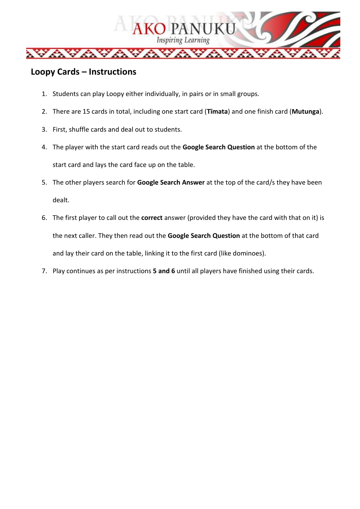

## **Loopy Cards – Instructions**

- 1. Students can play Loopy either individually, in pairs or in small groups.
- 2. There are 15 cards in total, including one start card (**Tīmata**) and one finish card (**Mutunga**).
- 3. First, shuffle cards and deal out to students.
- 4. The player with the start card reads out the **Google Search Question** at the bottom of the start card and lays the card face up on the table.
- 5. The other players search for **Google Search Answer** at the top of the card/s they have been dealt.
- 6. The first player to call out the **correct** answer (provided they have the card with that on it) is the next caller. They then read out the **Google Search Question** at the bottom of that card and lay their card on the table, linking it to the first card (like dominoes).
- 7. Play continues as per instructions **5 and 6** until all players have finished using their cards.